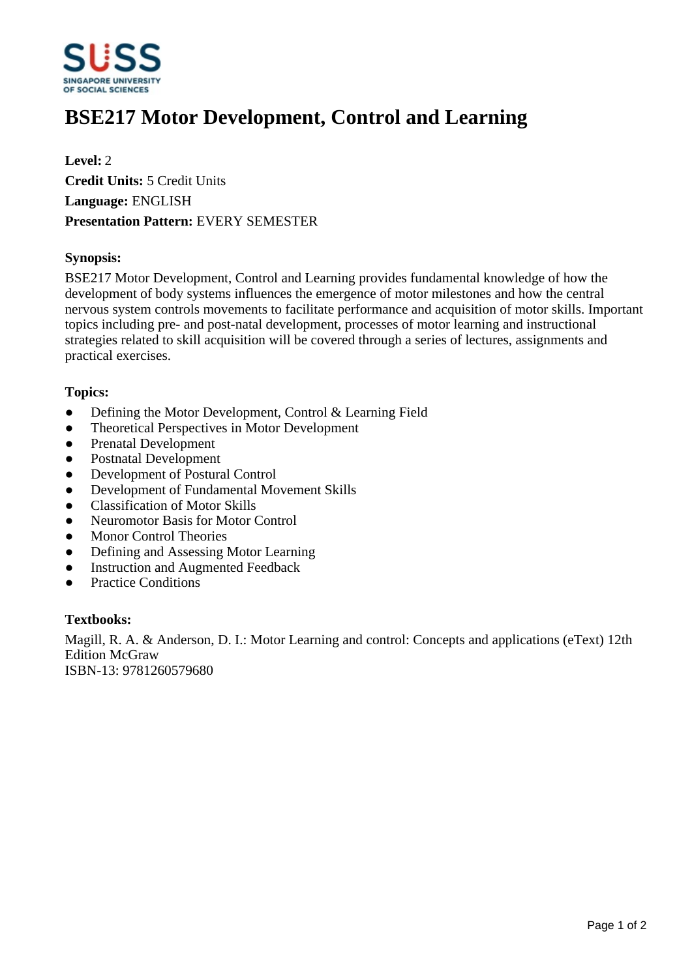

# **BSE217 Motor Development, Control and Learning**

**Level:** 2 **Credit Units:** 5 Credit Units **Language:** ENGLISH **Presentation Pattern:** EVERY SEMESTER

## **Synopsis:**

BSE217 Motor Development, Control and Learning provides fundamental knowledge of how the development of body systems influences the emergence of motor milestones and how the central nervous system controls movements to facilitate performance and acquisition of motor skills. Important topics including pre- and post-natal development, processes of motor learning and instructional strategies related to skill acquisition will be covered through a series of lectures, assignments and practical exercises.

## **Topics:**

- Defining the Motor Development, Control & Learning Field
- Theoretical Perspectives in Motor Development
- Prenatal Development
- Postnatal Development
- ƔDevelopment of Postural Control
- Development of Fundamental Movement Skills
- Classification of Motor Skills
- Neuromotor Basis for Motor Control
- Monor Control Theories
- Defining and Assessing Motor Learning
- Instruction and Augmented Feedback
- Practice Conditions

#### **Textbooks:**

Magill, R. A. & Anderson, D. I.: Motor Learning and control: Concepts and applications (eText) 12th Edition McGraw ISBN-13: 9781260579680